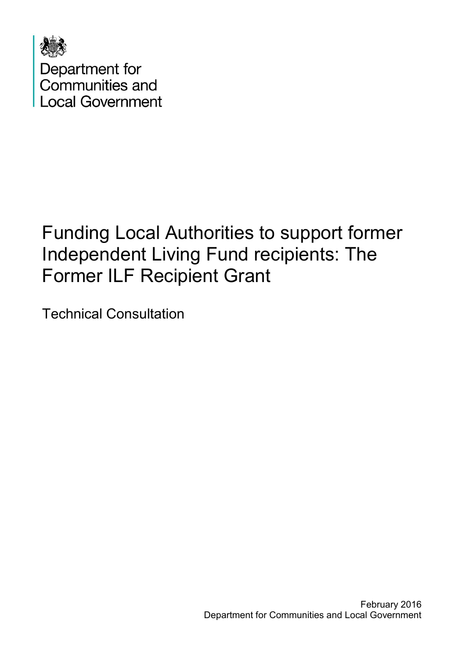

# Funding Local Authorities to support former Independent Living Fund recipients: The Former ILF Recipient Grant

Technical Consultation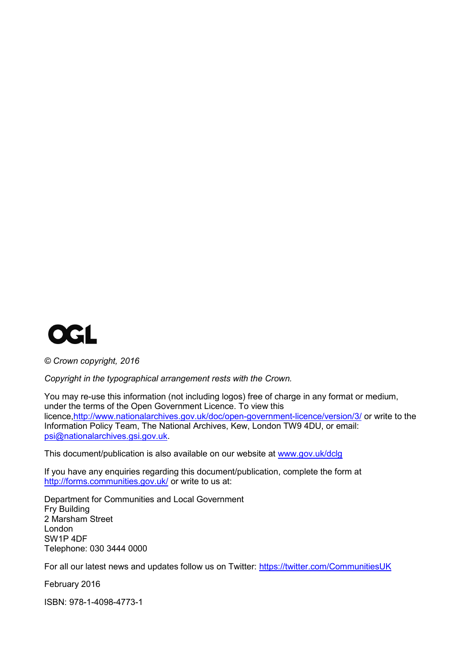

*© Crown copyright, 2016*

*Copyright in the typographical arrangement rests with the Crown.*

You may re-use this information (not including logos) free of charge in any format or medium, under the terms of the Open Government Licence. To view this licence[,http://www.nationalarchives.gov.uk/doc/open-government-licence/version/3/](http://www.nationalarchives.gov.uk/doc/open-government-licence/version/3/) or write to the Information Policy Team, The National Archives, Kew, London TW9 4DU, or email: [psi@nationalarchives.gsi.gov.uk.](mailto:psi@nationalarchives.gsi.gov.uk)

This document/publication is also available on our website at [www.gov.uk/dclg](http://www.gov.uk/dclg)

If you have any enquiries regarding this document/publication, complete the form at <http://forms.communities.gov.uk/> or write to us at:

Department for Communities and Local Government Fry Building 2 Marsham Street London SW1P 4DF Telephone: 030 3444 0000

For all our latest news and updates follow us on Twitter:<https://twitter.com/CommunitiesUK>

February 2016

ISBN: 978-1-4098-4773-1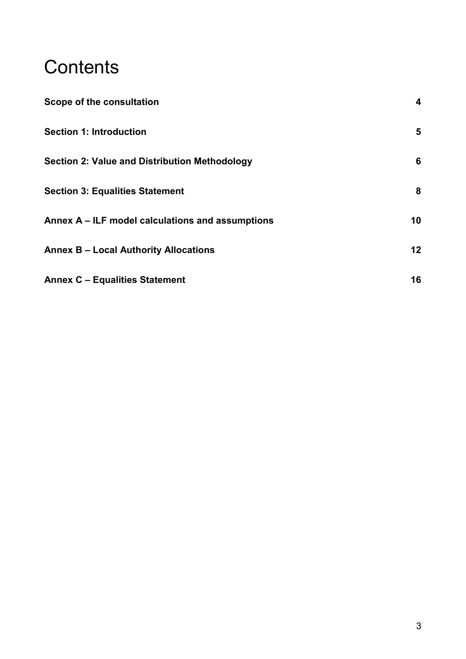# **Contents**

| Scope of the consultation                            | 4  |
|------------------------------------------------------|----|
| <b>Section 1: Introduction</b>                       | 5  |
| <b>Section 2: Value and Distribution Methodology</b> | 6  |
| <b>Section 3: Equalities Statement</b>               | 8  |
| Annex A - ILF model calculations and assumptions     | 10 |
| <b>Annex B - Local Authority Allocations</b>         | 12 |
| <b>Annex C - Equalities Statement</b>                | 16 |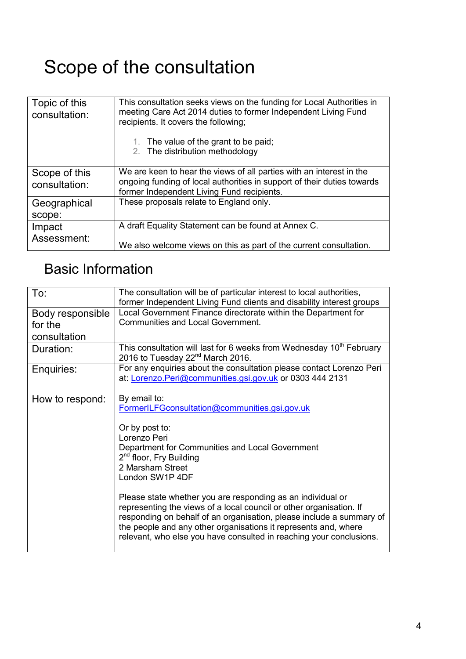# <span id="page-3-0"></span>Scope of the consultation

| Topic of this<br>consultation: | This consultation seeks views on the funding for Local Authorities in<br>meeting Care Act 2014 duties to former Independent Living Fund<br>recipients. It covers the following;<br>1. The value of the grant to be paid;<br>2. The distribution methodology |
|--------------------------------|-------------------------------------------------------------------------------------------------------------------------------------------------------------------------------------------------------------------------------------------------------------|
| Scope of this<br>consultation: | We are keen to hear the views of all parties with an interest in the<br>ongoing funding of local authorities in support of their duties towards<br>former Independent Living Fund recipients.                                                               |
| Geographical<br>scope:         | These proposals relate to England only.                                                                                                                                                                                                                     |
| Impact<br>Assessment:          | A draft Equality Statement can be found at Annex C.<br>We also welcome views on this as part of the current consultation.                                                                                                                                   |

## Basic Information

| To:                                         | The consultation will be of particular interest to local authorities,<br>former Independent Living Fund clients and disability interest groups                                                                                                                                                                                                                                                                                                                                                                                                                                           |
|---------------------------------------------|------------------------------------------------------------------------------------------------------------------------------------------------------------------------------------------------------------------------------------------------------------------------------------------------------------------------------------------------------------------------------------------------------------------------------------------------------------------------------------------------------------------------------------------------------------------------------------------|
| Body responsible<br>for the<br>consultation | Local Government Finance directorate within the Department for<br><b>Communities and Local Government.</b>                                                                                                                                                                                                                                                                                                                                                                                                                                                                               |
| Duration:                                   | This consultation will last for 6 weeks from Wednesday 10 <sup>th</sup> February<br>2016 to Tuesday 22 <sup>nd</sup> March 2016.                                                                                                                                                                                                                                                                                                                                                                                                                                                         |
| Enquiries:                                  | For any enquiries about the consultation please contact Lorenzo Peri<br>at: Lorenzo.Peri@communities.gsi.gov.uk or 0303 444 2131                                                                                                                                                                                                                                                                                                                                                                                                                                                         |
| How to respond:                             | By email to:<br>FormerILFGconsultation@communities.gsi.gov.uk<br>Or by post to:<br>Lorenzo Peri<br>Department for Communities and Local Government<br>2 <sup>nd</sup> floor, Fry Building<br>2 Marsham Street<br>London SW1P 4DF<br>Please state whether you are responding as an individual or<br>representing the views of a local council or other organisation. If<br>responding on behalf of an organisation, please include a summary of<br>the people and any other organisations it represents and, where<br>relevant, who else you have consulted in reaching your conclusions. |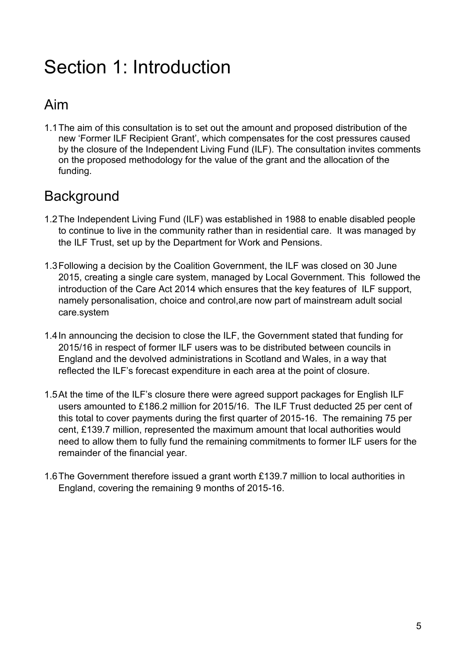# <span id="page-4-0"></span>Section 1: Introduction

### Aim

1.1The aim of this consultation is to set out the amount and proposed distribution of the new 'Former ILF Recipient Grant', which compensates for the cost pressures caused by the closure of the Independent Living Fund (ILF). The consultation invites comments on the proposed methodology for the value of the grant and the allocation of the funding.

### **Background**

- 1.2The Independent Living Fund (ILF) was established in 1988 to enable disabled people to continue to live in the community rather than in residential care. It was managed by the ILF Trust, set up by the Department for Work and Pensions.
- 1.3Following a decision by the Coalition Government, the ILF was closed on 30 June 2015, creating a single care system, managed by Local Government. This followed the introduction of the Care Act 2014 which ensures that the key features of ILF support, namely personalisation, choice and control,are now part of mainstream adult social care.system
- 1.4In announcing the decision to close the ILF, the Government stated that funding for 2015/16 in respect of former ILF users was to be distributed between councils in England and the devolved administrations in Scotland and Wales, in a way that reflected the ILF's forecast expenditure in each area at the point of closure.
- 1.5At the time of the ILF's closure there were agreed support packages for English ILF users amounted to £186.2 million for 2015/16. The ILF Trust deducted 25 per cent of this total to cover payments during the first quarter of 2015-16. The remaining 75 per cent, £139.7 million, represented the maximum amount that local authorities would need to allow them to fully fund the remaining commitments to former ILF users for the remainder of the financial year.
- 1.6The Government therefore issued a grant worth £139.7 million to local authorities in England, covering the remaining 9 months of 2015-16.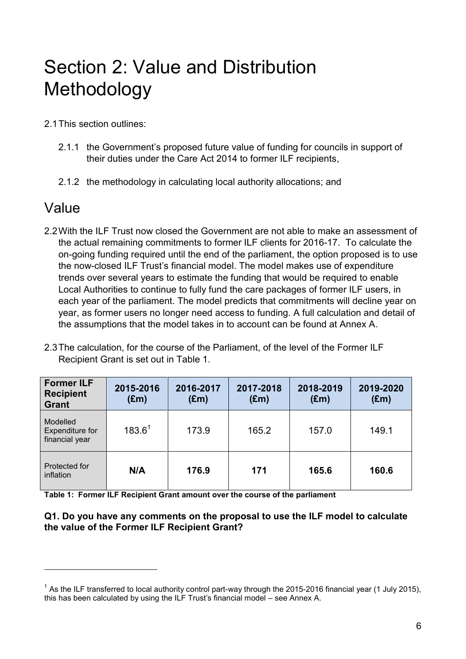# <span id="page-5-0"></span>Section 2: Value and Distribution Methodology

2.1This section outlines:

- 2.1.1 the Government's proposed future value of funding for councils in support of their duties under the Care Act 2014 to former ILF recipients,
- 2.1.2 the methodology in calculating local authority allocations; and

### Value

1

- 2.2With the ILF Trust now closed the Government are not able to make an assessment of the actual remaining commitments to former ILF clients for 2016-17. To calculate the on-going funding required until the end of the parliament, the option proposed is to use the now-closed ILF Trust's financial model. The model makes use of expenditure trends over several years to estimate the funding that would be required to enable Local Authorities to continue to fully fund the care packages of former ILF users, in each year of the parliament. The model predicts that commitments will decline year on year, as former users no longer need access to funding. A full calculation and detail of the assumptions that the model takes in to account can be found at Annex A.
- 2.3The calculation, for the course of the Parliament, of the level of the Former ILF Recipient Grant is set out in Table 1.

| <b>Former ILF</b><br><b>Recipient</b><br><b>Grant</b> | 2015-2016<br>$(\text{Em})$ | 2016-2017<br>$(\text{Em})$ | 2017-2018<br>$(\text{Em})$ | 2018-2019<br>$(\text{Em})$ | 2019-2020<br>$(\text{Em})$ |
|-------------------------------------------------------|----------------------------|----------------------------|----------------------------|----------------------------|----------------------------|
| Modelled<br>Expenditure for<br>financial year         | $183.6^{1}$                | 173.9                      | 165.2                      | 157.0                      | 149.1                      |
| Protected for<br>inflation                            | N/A                        | 176.9                      | 171                        | 165.6                      | 160.6                      |

**Table 1: Former ILF Recipient Grant amount over the course of the parliament**

#### **Q1. Do you have any comments on the proposal to use the ILF model to calculate the value of the Former ILF Recipient Grant?**

 $1$  As the ILF transferred to local authority control part-way through the 2015-2016 financial year (1 July 2015), this has been calculated by using the ILF Trust's financial model – see Annex A.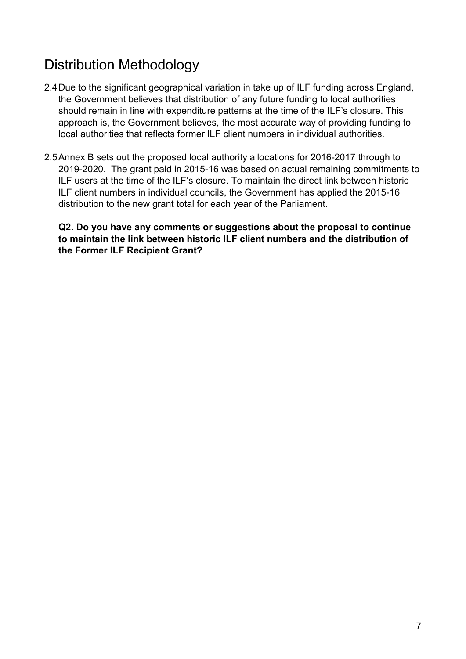## Distribution Methodology

- 2.4Due to the significant geographical variation in take up of ILF funding across England, the Government believes that distribution of any future funding to local authorities should remain in line with expenditure patterns at the time of the ILF's closure. This approach is, the Government believes, the most accurate way of providing funding to local authorities that reflects former ILF client numbers in individual authorities.
- 2.5Annex B sets out the proposed local authority allocations for 2016-2017 through to 2019-2020. The grant paid in 2015-16 was based on actual remaining commitments to ILF users at the time of the ILF's closure. To maintain the direct link between historic ILF client numbers in individual councils, the Government has applied the 2015-16 distribution to the new grant total for each year of the Parliament.

**Q2. Do you have any comments or suggestions about the proposal to continue to maintain the link between historic ILF client numbers and the distribution of the Former ILF Recipient Grant?**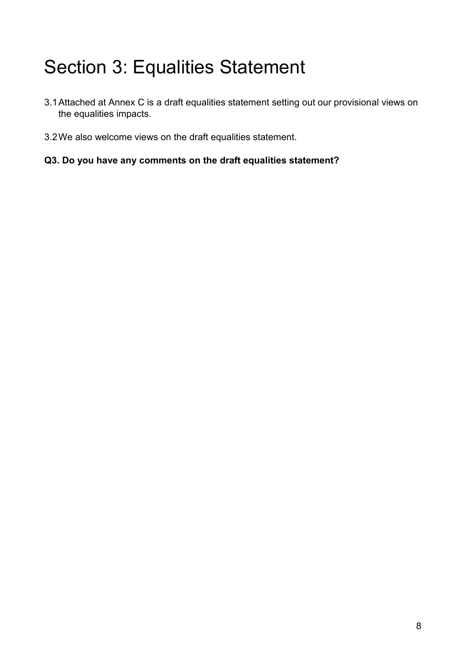# <span id="page-7-0"></span>Section 3: Equalities Statement

- 3.1Attached at Annex C is a draft equalities statement setting out our provisional views on the equalities impacts.
- 3.2We also welcome views on the draft equalities statement.
- **Q3. Do you have any comments on the draft equalities statement?**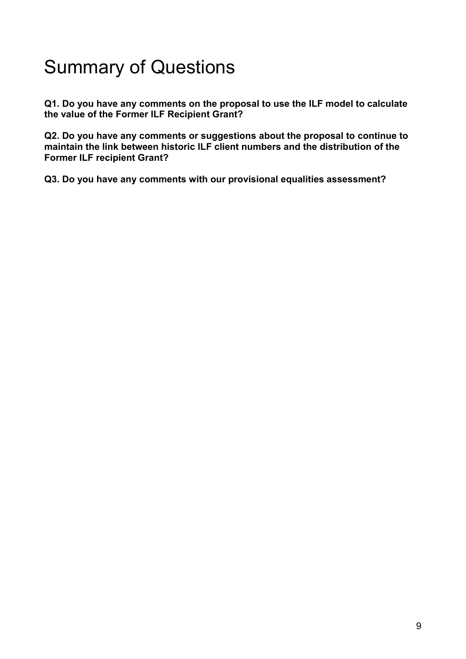## Summary of Questions

**Q1. Do you have any comments on the proposal to use the ILF model to calculate the value of the Former ILF Recipient Grant?**

**Q2. Do you have any comments or suggestions about the proposal to continue to maintain the link between historic ILF client numbers and the distribution of the Former ILF recipient Grant?**

**Q3. Do you have any comments with our provisional equalities assessment?**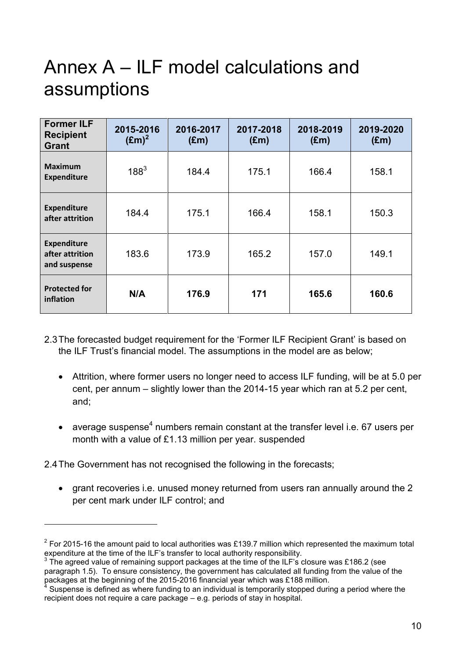# <span id="page-9-0"></span>Annex A – ILF model calculations and assumptions

| <b>Former ILF</b><br><b>Recipient</b><br><b>Grant</b> | 2015-2016<br>$(Em)^2$ | 2016-2017<br>$(\text{Em})$ | 2017-2018<br>$(\text{Em})$ | 2018-2019<br>$(\text{Em})$ | 2019-2020<br>$(\text{Em})$ |
|-------------------------------------------------------|-----------------------|----------------------------|----------------------------|----------------------------|----------------------------|
| <b>Maximum</b><br><b>Expenditure</b>                  | $188^{3}$             | 184.4                      | 175.1                      | 166.4                      | 158.1                      |
| <b>Expenditure</b><br>after attrition                 | 184.4                 | 175.1                      | 166.4                      | 158.1                      | 150.3                      |
| <b>Expenditure</b><br>after attrition<br>and suspense | 183.6                 | 173.9                      | 165.2                      | 157.0                      | 149.1                      |
| <b>Protected for</b><br>inflation                     | N/A                   | 176.9                      | 171                        | 165.6                      | 160.6                      |

- 2.3The forecasted budget requirement for the 'Former ILF Recipient Grant' is based on the ILF Trust's financial model. The assumptions in the model are as below;
	- Attrition, where former users no longer need to access ILF funding, will be at 5.0 per cent, per annum – slightly lower than the 2014-15 year which ran at 5.2 per cent, and;
	- average suspense<sup>4</sup> numbers remain constant at the transfer level i.e. 67 users per month with a value of £1.13 million per year. suspended

2.4The Government has not recognised the following in the forecasts;

1

 grant recoveries i.e. unused money returned from users ran annually around the 2 per cent mark under ILF control; and

<sup>&</sup>lt;sup>2</sup> For 2015-16 the amount paid to local authorities was £139.7 million which represented the maximum total expenditure at the time of the ILF's transfer to local authority responsibility.

 $3$  The agreed value of remaining support packages at the time of the ILF's closure was £186.2 (see paragraph 1.5). To ensure consistency, the government has calculated all funding from the value of the packages at the beginning of the 2015-2016 financial year which was £188 million.

<sup>4</sup> Suspense is defined as where funding to an individual is temporarily stopped during a period where the recipient does not require a care package – e.g. periods of stay in hospital.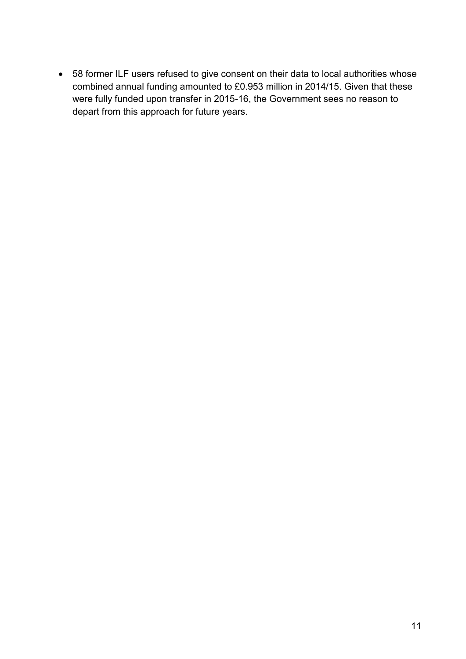58 former ILF users refused to give consent on their data to local authorities whose combined annual funding amounted to £0.953 million in 2014/15. Given that these were fully funded upon transfer in 2015-16, the Government sees no reason to depart from this approach for future years.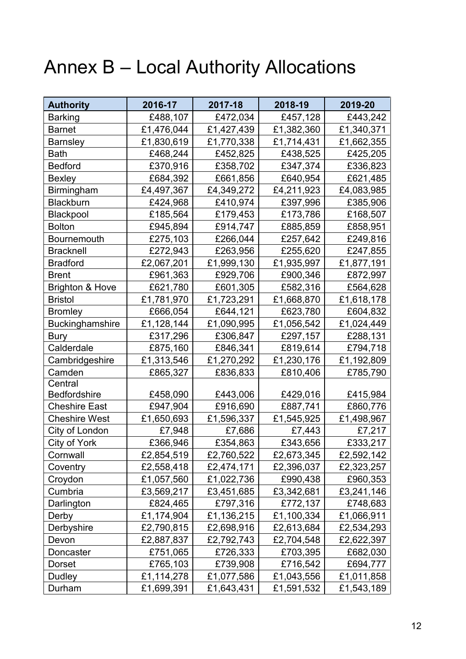# <span id="page-11-0"></span>Annex B – Local Authority Allocations

| <b>Authority</b>           | 2016-17    | 2017-18    | 2018-19    | 2019-20    |
|----------------------------|------------|------------|------------|------------|
| <b>Barking</b>             | £488,107   | £472,034   | £457,128   | £443,242   |
| <b>Barnet</b>              | £1,476,044 | £1,427,439 | £1,382,360 | £1,340,371 |
| <b>Barnsley</b>            | £1,830,619 | £1,770,338 | £1,714,431 | £1,662,355 |
| <b>Bath</b>                | £468,244   | £452,825   | £438,525   | £425,205   |
| <b>Bedford</b>             | £370,916   | £358,702   | £347,374   | £336,823   |
| <b>Bexley</b>              | £684,392   | £661,856   | £640,954   | £621,485   |
| Birmingham                 | £4,497,367 | £4,349,272 | £4,211,923 | £4,083,985 |
| <b>Blackburn</b>           | £424,968   | £410,974   | £397,996   | £385,906   |
| <b>Blackpool</b>           | £185,564   | £179,453   | £173,786   | £168,507   |
| <b>Bolton</b>              | £945,894   | £914,747   | £885,859   | £858,951   |
| <b>Bournemouth</b>         | £275,103   | £266,044   | £257,642   | £249,816   |
| <b>Bracknell</b>           | £272,943   | £263,956   | £255,620   | £247,855   |
| <b>Bradford</b>            | £2,067,201 | £1,999,130 | £1,935,997 | £1,877,191 |
| <b>Brent</b>               | £961,363   | £929,706   | £900,346   | £872,997   |
| <b>Brighton &amp; Hove</b> | £621,780   | £601,305   | £582,316   | £564,628   |
| <b>Bristol</b>             | £1,781,970 | £1,723,291 | £1,668,870 | £1,618,178 |
| <b>Bromley</b>             | £666,054   | £644,121   | £623,780   | £604,832   |
| <b>Buckinghamshire</b>     | £1,128,144 | £1,090,995 | £1,056,542 | £1,024,449 |
| Bury                       | £317,296   | £306,847   | £297,157   | £288,131   |
| Calderdale                 | £875,160   | £846,341   | £819,614   | £794,718   |
| Cambridgeshire             | £1,313,546 | £1,270,292 | £1,230,176 | £1,192,809 |
| Camden                     | £865,327   | £836,833   | £810,406   | £785,790   |
| Central                    |            |            |            |            |
| <b>Bedfordshire</b>        | £458,090   | £443,006   | £429,016   | £415,984   |
| <b>Cheshire East</b>       | £947,904   | £916,690   | £887,741   | £860,776   |
| <b>Cheshire West</b>       | £1,650,693 | £1,596,337 | £1,545,925 | £1,498,967 |
| City of London             | £7,948     | £7,686     | £7,443     | £7,217     |
| City of York               | £366,946   | £354,863   | £343,656   | £333,217   |
| Cornwall                   | £2,854,519 | £2,760,522 | £2,673,345 | £2,592,142 |
| Coventry                   | £2,558,418 | £2,474,171 | £2,396,037 | £2,323,257 |
| Croydon                    | £1,057,560 | £1,022,736 | £990,438   | £960,353   |
| Cumbria                    | £3,569,217 | £3,451,685 | £3,342,681 | £3,241,146 |
| Darlington                 | £824,465   | £797,316   | £772,137   | £748,683   |
| Derby                      | £1,174,904 | £1,136,215 | £1,100,334 | £1,066,911 |
| Derbyshire                 | £2,790,815 | £2,698,916 | £2,613,684 | £2,534,293 |
| Devon                      | £2,887,837 | £2,792,743 | £2,704,548 | £2,622,397 |
| Doncaster                  | £751,065   | £726,333   | £703,395   | £682,030   |
| Dorset                     | £765,103   | £739,908   | £716,542   | £694,777   |
| Dudley                     | £1,114,278 | £1,077,586 | £1,043,556 | £1,011,858 |
| Durham                     | £1,699,391 | £1,643,431 | £1,591,532 | £1,543,189 |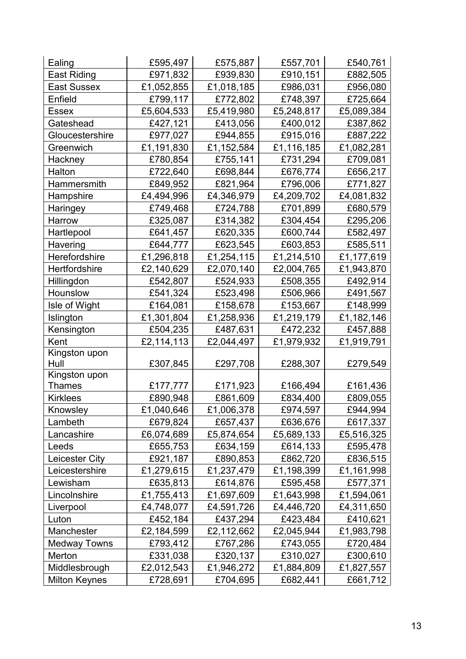| Ealing                | £595,497   | £575,887   | £557,701   | £540,761   |
|-----------------------|------------|------------|------------|------------|
| <b>East Riding</b>    | £971,832   | £939,830   | £910,151   | £882,505   |
| <b>East Sussex</b>    | £1,052,855 | £1,018,185 | £986,031   | £956,080   |
| Enfield               | £799,117   | £772,802   | £748,397   | £725,664   |
| <b>Essex</b>          | £5,604,533 | £5,419,980 | £5,248,817 | £5,089,384 |
| Gateshead             | £427,121   | £413,056   | £400,012   | £387,862   |
| Gloucestershire       | £977,027   | £944,855   | £915,016   | £887,222   |
| Greenwich             | £1,191,830 | £1,152,584 | £1,116,185 | £1,082,281 |
| Hackney               | £780,854   | £755,141   | £731,294   | £709,081   |
| Halton                | £722,640   | £698,844   | £676,774   | £656,217   |
| Hammersmith           | £849,952   | £821,964   | £796,006   | £771,827   |
| Hampshire             | £4,494,996 | £4,346,979 | £4,209,702 | £4,081,832 |
| Haringey              | £749,468   | £724,788   | £701,899   | £680,579   |
| Harrow                | £325,087   | £314,382   | £304,454   | £295,206   |
| Hartlepool            | £641,457   | £620,335   | £600,744   | £582,497   |
| Havering              | £644,777   | £623,545   | £603,853   | £585,511   |
| <b>Herefordshire</b>  | £1,296,818 | £1,254,115 | £1,214,510 | £1,177,619 |
| <b>Hertfordshire</b>  | £2,140,629 | £2,070,140 | £2,004,765 | £1,943,870 |
| Hillingdon            | £542,807   | £524,933   | £508,355   | £492,914   |
| Hounslow              | £541,324   | £523,498   | £506,966   | £491,567   |
| Isle of Wight         | £164,081   | £158,678   | £153,667   | £148,999   |
| Islington             | £1,301,804 | £1,258,936 | £1,219,179 | £1,182,146 |
| Kensington            | £504,235   | £487,631   | £472,232   | £457,888   |
| Kent                  | £2,114,113 | £2,044,497 | £1,979,932 | £1,919,791 |
| Kingston upon         |            |            |            |            |
| Hull<br>Kingston upon | £307,845   | £297,708   | £288,307   | £279,549   |
| <b>Thames</b>         | £177,777   | £171,923   | £166,494   | £161,436   |
| <b>Kirklees</b>       | £890,948   | £861,609   | £834,400   | £809,055   |
| Knowsley              | £1,040,646 | £1,006,378 | £974,597   | £944,994   |
| Lambeth               | £679,824   | £657,437   | £636,676   | £617,337   |
| Lancashire            | £6,074,689 | £5,874,654 | £5,689,133 | £5,516,325 |
| Leeds                 | £655,753   | £634,159   | £614,133   | £595,478   |
| Leicester City        | £921,187   | £890,853   | £862,720   | £836,515   |
| Leicestershire        | £1,279,615 | £1,237,479 | £1,198,399 | £1,161,998 |
| Lewisham              | £635,813   | £614,876   | £595,458   | £577,371   |
| Lincolnshire          | £1,755,413 | £1,697,609 | £1,643,998 | £1,594,061 |
| Liverpool             | £4,748,077 | £4,591,726 | £4,446,720 | £4,311,650 |
| Luton                 | £452,184   | £437,294   | £423,484   | £410,621   |
| Manchester            | £2,184,599 | £2,112,662 | £2,045,944 | £1,983,798 |
| Medway Towns          | £793,412   | £767,286   | £743,055   | £720,484   |
| Merton                | £331,038   | £320,137   | £310,027   | £300,610   |
| Middlesbrough         | £2,012,543 | £1,946,272 | £1,884,809 | £1,827,557 |
| <b>Milton Keynes</b>  | £728,691   | £704,695   | £682,441   | £661,712   |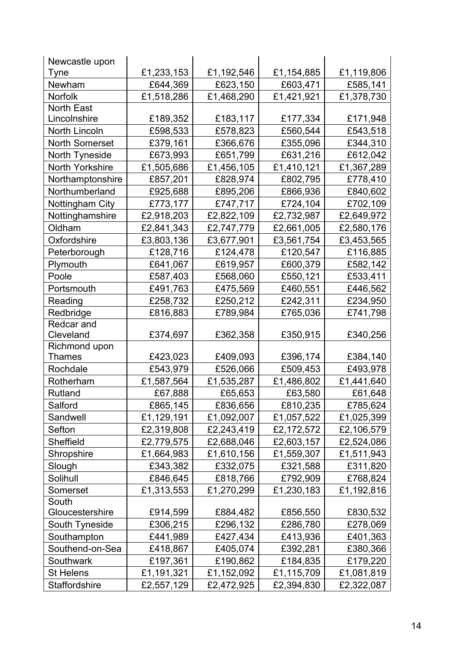| Newcastle upon        |            |            |            |            |
|-----------------------|------------|------------|------------|------------|
| Tyne                  | £1,233,153 | £1,192,546 | £1,154,885 | £1,119,806 |
| Newham                | £644,369   | £623,150   | £603,471   | £585,141   |
| <b>Norfolk</b>        | £1,518,286 | £1,468,290 | £1,421,921 | £1,378,730 |
| North East            |            |            |            |            |
| Lincolnshire          | £189,352   | £183,117   | £177,334   | £171,948   |
| North Lincoln         | £598,533   | £578,823   | £560,544   | £543,518   |
| <b>North Somerset</b> | £379,161   | £366,676   | £355,096   | £344,310   |
| North Tyneside        | £673,993   | £651,799   | £631,216   | £612,042   |
| North Yorkshire       | £1,505,686 | £1,456,105 | £1,410,121 | £1,367,289 |
| Northamptonshire      | £857,201   | £828,974   | £802,795   | £778,410   |
| Northumberland        | £925,688   | £895,206   | £866,936   | £840,602   |
| Nottingham City       | £773,177   | £747,717   | £724,104   | £702,109   |
| Nottinghamshire       | £2,918,203 | £2,822,109 | £2,732,987 | £2,649,972 |
| Oldham                | £2,841,343 | £2,747,779 | £2,661,005 | £2,580,176 |
| Oxfordshire           | £3,803,136 | £3,677,901 | £3,561,754 | £3,453,565 |
| Peterborough          | £128,716   | £124,478   | £120,547   | £116,885   |
| Plymouth              | £641,067   | £619,957   | £600,379   | £582,142   |
| Poole                 | £587,403   | £568,060   | £550,121   | £533,411   |
| Portsmouth            | £491,763   | £475,569   | £460,551   | £446,562   |
| Reading               | £258,732   | £250,212   | £242,311   | £234,950   |
| Redbridge             | £816,883   | £789,984   | £765,036   | £741,798   |
| Redcar and            |            |            |            |            |
| Cleveland             | £374,697   | £362,358   | £350,915   | £340,256   |
| Richmond upon         |            |            |            |            |
| Thames                | £423,023   | £409,093   | £396,174   | £384,140   |
| Rochdale              | £543,979   | £526,066   | £509,453   | £493,978   |
| Rotherham             | £1,587,564 | £1,535,287 | £1,486,802 | £1,441,640 |
| Rutland               | £67,888    | £65,653    | £63,580    | £61,648    |
| Salford               | £865,145   | £836,656   | £810,235   | £785,624   |
| Sandwell              | £1,129,191 | £1,092,007 | £1,057,522 | £1,025,399 |
| Sefton                | £2,319,808 | £2,243,419 | £2,172,572 | £2,106,579 |
| Sheffield             | £2,779,575 | £2,688,046 | £2,603,157 | £2,524,086 |
| Shropshire            | £1,664,983 | £1,610,156 | £1,559,307 | £1,511,943 |
| Slough                | £343,382   | £332,075   | £321,588   | £311,820   |
| Solihull              | £846,645   | £818,766   | £792,909   | £768,824   |
| Somerset              | £1,313,553 | £1,270,299 | £1,230,183 | £1,192,816 |
| South                 |            |            |            |            |
| Gloucestershire       | £914,599   | £884,482   | £856,550   | £830,532   |
| South Tyneside        | £306,215   | £296,132   | £286,780   | £278,069   |
| Southampton           | £441,989   | £427,434   | £413,936   | £401,363   |
| Southend-on-Sea       | £418,867   | £405,074   | £392,281   | £380,366   |
| Southwark             | £197,361   | £190,862   | £184,835   | £179,220   |
| <b>St Helens</b>      | £1,191,321 | £1,152,092 | £1,115,709 | £1,081,819 |
| Staffordshire         | £2,557,129 | £2,472,925 | £2,394,830 | £2,322,087 |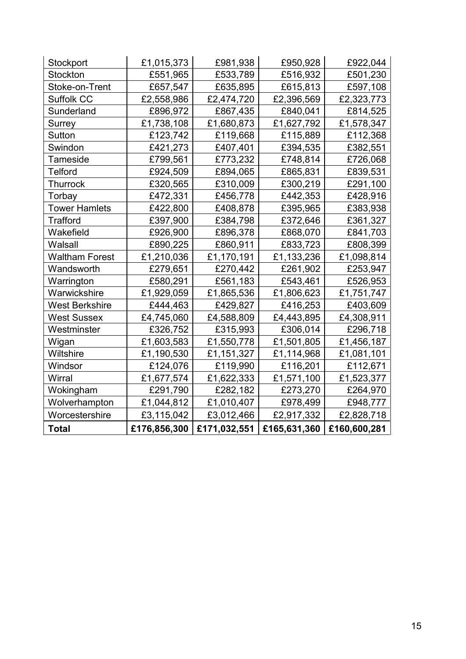| Stockport             | £1,015,373   | £981,938     | £950,928     | £922,044     |
|-----------------------|--------------|--------------|--------------|--------------|
| Stockton              | £551,965     | £533,789     | £516,932     | £501,230     |
| Stoke-on-Trent        | £657,547     | £635,895     | £615,813     | £597,108     |
| Suffolk CC            | £2,558,986   | £2,474,720   | £2,396,569   | £2,323,773   |
| Sunderland            | £896,972     | £867,435     | £840,041     | £814,525     |
| Surrey                | £1,738,108   | £1,680,873   | £1,627,792   | £1,578,347   |
| Sutton                | £123,742     | £119,668     | £115,889     | £112,368     |
| Swindon               | £421,273     | £407,401     | £394,535     | £382,551     |
| Tameside              | £799,561     | £773,232     | £748,814     | £726,068     |
| Telford               | £924,509     | £894,065     | £865,831     | £839,531     |
| <b>Thurrock</b>       | £320,565     | £310,009     | £300,219     | £291,100     |
| Torbay                | £472,331     | £456,778     | £442,353     | £428,916     |
| <b>Tower Hamlets</b>  | £422,800     | £408,878     | £395,965     | £383,938     |
| <b>Trafford</b>       | £397,900     | £384,798     | £372,646     | £361,327     |
| Wakefield             | £926,900     | £896,378     | £868,070     | £841,703     |
| Walsall               | £890,225     | £860,911     | £833,723     | £808,399     |
| <b>Waltham Forest</b> | £1,210,036   | £1,170,191   | £1,133,236   | £1,098,814   |
| Wandsworth            | £279,651     | £270,442     | £261,902     | £253,947     |
| Warrington            | £580,291     | £561,183     | £543,461     | £526,953     |
| Warwickshire          | £1,929,059   | £1,865,536   | £1,806,623   | £1,751,747   |
| <b>West Berkshire</b> | £444,463     | £429,827     | £416,253     | £403,609     |
| <b>West Sussex</b>    | £4,745,060   | £4,588,809   | £4,443,895   | £4,308,911   |
| Westminster           | £326,752     | £315,993     | £306,014     | £296,718     |
| Wigan                 | £1,603,583   | £1,550,778   | £1,501,805   | £1,456,187   |
| Wiltshire             | £1,190,530   | £1,151,327   | £1,114,968   | £1,081,101   |
| Windsor               | £124,076     | £119,990     | £116,201     | £112,671     |
| Wirral                | £1,677,574   | £1,622,333   | £1,571,100   | £1,523,377   |
| Wokingham             | £291,790     | £282,182     | £273,270     | £264,970     |
| Wolverhampton         | £1,044,812   | £1,010,407   | £978,499     | £948,777     |
| Worcestershire        | £3,115,042   | £3,012,466   | £2,917,332   | £2,828,718   |
| <b>Total</b>          | £176,856,300 | £171,032,551 | £165,631,360 | £160,600,281 |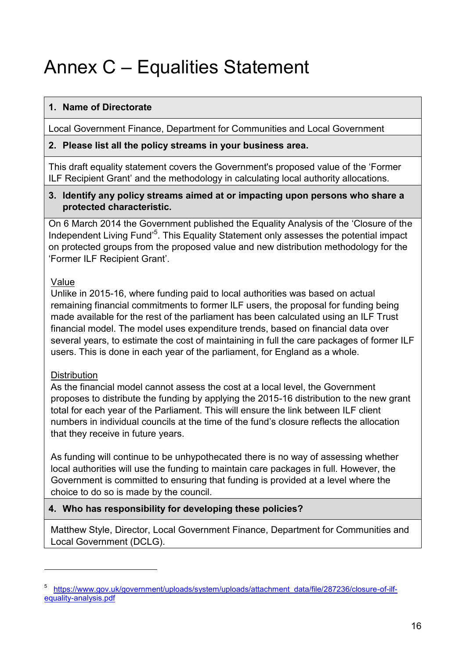# <span id="page-15-0"></span>Annex C – Equalities Statement

### **1. Name of Directorate**

Local Government Finance, Department for Communities and Local Government

#### **2. Please list all the policy streams in your business area.**

This draft equality statement covers the Government's proposed value of the 'Former ILF Recipient Grant' and the methodology in calculating local authority allocations.

#### **3. Identify any policy streams aimed at or impacting upon persons who share a protected characteristic.**

On 6 March 2014 the Government published the Equality Analysis of the 'Closure of the Independent Living Fund<sup>'5</sup>. This Equality Statement only assesses the potential impact on protected groups from the proposed value and new distribution methodology for the 'Former ILF Recipient Grant'.

### Value

Unlike in 2015-16, where funding paid to local authorities was based on actual remaining financial commitments to former ILF users, the proposal for funding being made available for the rest of the parliament has been calculated using an ILF Trust financial model. The model uses expenditure trends, based on financial data over several years, to estimate the cost of maintaining in full the care packages of former ILF users. This is done in each year of the parliament, for England as a whole.

### **Distribution**

1

As the financial model cannot assess the cost at a local level, the Government proposes to distribute the funding by applying the 2015-16 distribution to the new grant total for each year of the Parliament. This will ensure the link between ILF client numbers in individual councils at the time of the fund's closure reflects the allocation that they receive in future years.

As funding will continue to be unhypothecated there is no way of assessing whether local authorities will use the funding to maintain care packages in full. However, the Government is committed to ensuring that funding is provided at a level where the choice to do so is made by the council.

### **4. Who has responsibility for developing these policies?**

Matthew Style, Director, Local Government Finance, Department for Communities and Local Government (DCLG).

<sup>5</sup> [https://www.gov.uk/government/uploads/system/uploads/attachment\\_data/file/287236/closure-of-ilf](https://www.gov.uk/government/uploads/system/uploads/attachment_data/file/287236/closure-of-ilf-equality-analysis.pdf)[equality-analysis.pdf](https://www.gov.uk/government/uploads/system/uploads/attachment_data/file/287236/closure-of-ilf-equality-analysis.pdf)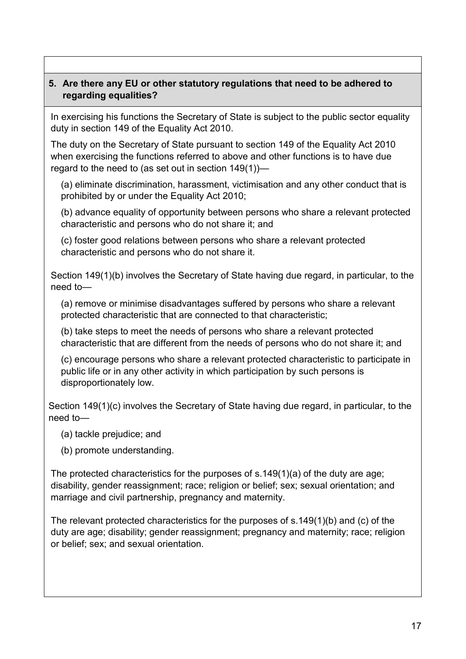#### **5. Are there any EU or other statutory regulations that need to be adhered to regarding equalities?**

In exercising his functions the Secretary of State is subject to the public sector equality duty in section 149 of the Equality Act 2010.

The duty on the Secretary of State pursuant to section 149 of the Equality Act 2010 when exercising the functions referred to above and other functions is to have due regard to the need to (as set out in section 149(1))—

(a) eliminate discrimination, harassment, victimisation and any other conduct that is prohibited by or under the Equality Act 2010;

(b) advance equality of opportunity between persons who share a relevant protected characteristic and persons who do not share it; and

(c) foster good relations between persons who share a relevant protected characteristic and persons who do not share it.

Section 149(1)(b) involves the Secretary of State having due regard, in particular, to the need to—

(a) remove or minimise disadvantages suffered by persons who share a relevant protected characteristic that are connected to that characteristic;

(b) take steps to meet the needs of persons who share a relevant protected characteristic that are different from the needs of persons who do not share it; and

(c) encourage persons who share a relevant protected characteristic to participate in public life or in any other activity in which participation by such persons is disproportionately low.

Section 149(1)(c) involves the Secretary of State having due regard, in particular, to the need to—

- (a) tackle prejudice; and
- (b) promote understanding.

The protected characteristics for the purposes of s.149(1)(a) of the duty are age; disability, gender reassignment; race; religion or belief; sex; sexual orientation; and marriage and civil partnership, pregnancy and maternity.

The relevant protected characteristics for the purposes of s.149(1)(b) and (c) of the duty are age; disability; gender reassignment; pregnancy and maternity; race; religion or belief; sex; and sexual orientation.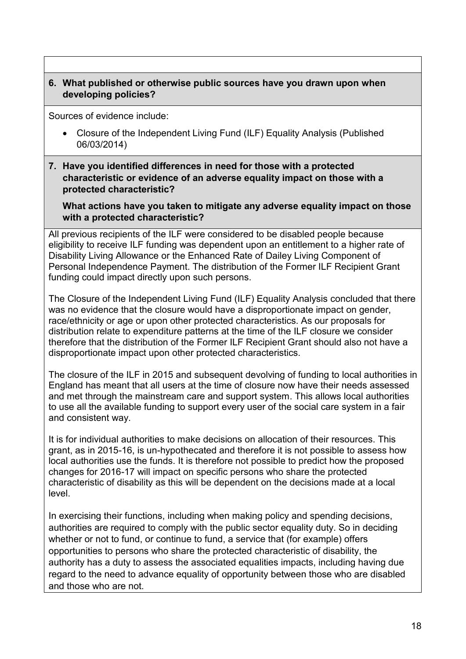#### **6. What published or otherwise public sources have you drawn upon when developing policies?**

Sources of evidence include:

- Closure of the Independent Living Fund (ILF) Equality Analysis (Published 06/03/2014)
- **7. Have you identified differences in need for those with a protected characteristic or evidence of an adverse equality impact on those with a protected characteristic?**

**What actions have you taken to mitigate any adverse equality impact on those with a protected characteristic?**

All previous recipients of the ILF were considered to be disabled people because eligibility to receive ILF funding was dependent upon an entitlement to a higher rate of Disability Living Allowance or the Enhanced Rate of Dailey Living Component of Personal Independence Payment. The distribution of the Former ILF Recipient Grant funding could impact directly upon such persons.

The Closure of the Independent Living Fund (ILF) Equality Analysis concluded that there was no evidence that the closure would have a disproportionate impact on gender, race/ethnicity or age or upon other protected characteristics. As our proposals for distribution relate to expenditure patterns at the time of the ILF closure we consider therefore that the distribution of the Former ILF Recipient Grant should also not have a disproportionate impact upon other protected characteristics.

The closure of the ILF in 2015 and subsequent devolving of funding to local authorities in England has meant that all users at the time of closure now have their needs assessed and met through the mainstream care and support system. This allows local authorities to use all the available funding to support every user of the social care system in a fair and consistent way.

It is for individual authorities to make decisions on allocation of their resources. This grant, as in 2015-16, is un-hypothecated and therefore it is not possible to assess how local authorities use the funds. It is therefore not possible to predict how the proposed changes for 2016-17 will impact on specific persons who share the protected characteristic of disability as this will be dependent on the decisions made at a local level.

In exercising their functions, including when making policy and spending decisions, authorities are required to comply with the public sector equality duty. So in deciding whether or not to fund, or continue to fund, a service that (for example) offers opportunities to persons who share the protected characteristic of disability, the authority has a duty to assess the associated equalities impacts, including having due regard to the need to advance equality of opportunity between those who are disabled and those who are not.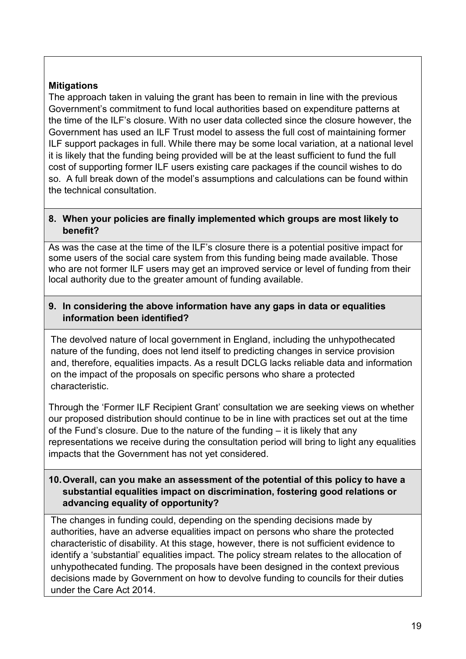### **Mitigations**

The approach taken in valuing the grant has been to remain in line with the previous Government's commitment to fund local authorities based on expenditure patterns at the time of the ILF's closure. With no user data collected since the closure however, the Government has used an ILF Trust model to assess the full cost of maintaining former ILF support packages in full. While there may be some local variation, at a national level it is likely that the funding being provided will be at the least sufficient to fund the full cost of supporting former ILF users existing care packages if the council wishes to do so. A full break down of the model's assumptions and calculations can be found within the technical consultation.

#### **8. When your policies are finally implemented which groups are most likely to benefit?**

As was the case at the time of the ILF's closure there is a potential positive impact for some users of the social care system from this funding being made available. Those who are not former ILF users may get an improved service or level of funding from their local authority due to the greater amount of funding available.

#### **9. In considering the above information have any gaps in data or equalities information been identified?**

The devolved nature of local government in England, including the unhypothecated nature of the funding, does not lend itself to predicting changes in service provision and, therefore, equalities impacts. As a result DCLG lacks reliable data and information on the impact of the proposals on specific persons who share a protected characteristic.

Through the 'Former ILF Recipient Grant' consultation we are seeking views on whether our proposed distribution should continue to be in line with practices set out at the time of the Fund's closure. Due to the nature of the funding – it is likely that any representations we receive during the consultation period will bring to light any equalities impacts that the Government has not yet considered.

#### **10.Overall, can you make an assessment of the potential of this policy to have a substantial equalities impact on discrimination, fostering good relations or advancing equality of opportunity?**

The changes in funding could, depending on the spending decisions made by authorities, have an adverse equalities impact on persons who share the protected characteristic of disability. At this stage, however, there is not sufficient evidence to identify a 'substantial' equalities impact. The policy stream relates to the allocation of unhypothecated funding. The proposals have been designed in the context previous decisions made by Government on how to devolve funding to councils for their duties under the Care Act 2014.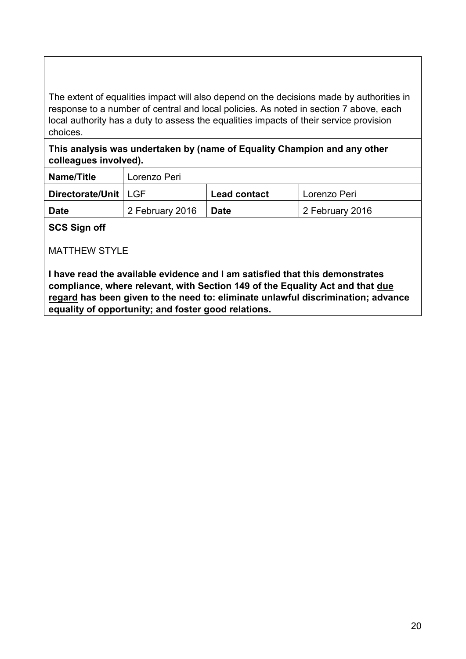The extent of equalities impact will also depend on the decisions made by authorities in response to a number of central and local policies. As noted in section 7 above, each local authority has a duty to assess the equalities impacts of their service provision choices.

**This analysis was undertaken by (name of Equality Champion and any other colleagues involved).** 

| Name/Title             | Lorenzo Peri    |                     |                 |
|------------------------|-----------------|---------------------|-----------------|
| Directorate/Unit   LGF |                 | <b>Lead contact</b> | Lorenzo Peri    |
| <b>Date</b>            | 2 February 2016 | <b>Date</b>         | 2 February 2016 |

**SCS Sign off**

MATTHEW STYLE

**I have read the available evidence and I am satisfied that this demonstrates compliance, where relevant, with Section 149 of the Equality Act and that due regard has been given to the need to: eliminate unlawful discrimination; advance equality of opportunity; and foster good relations.**